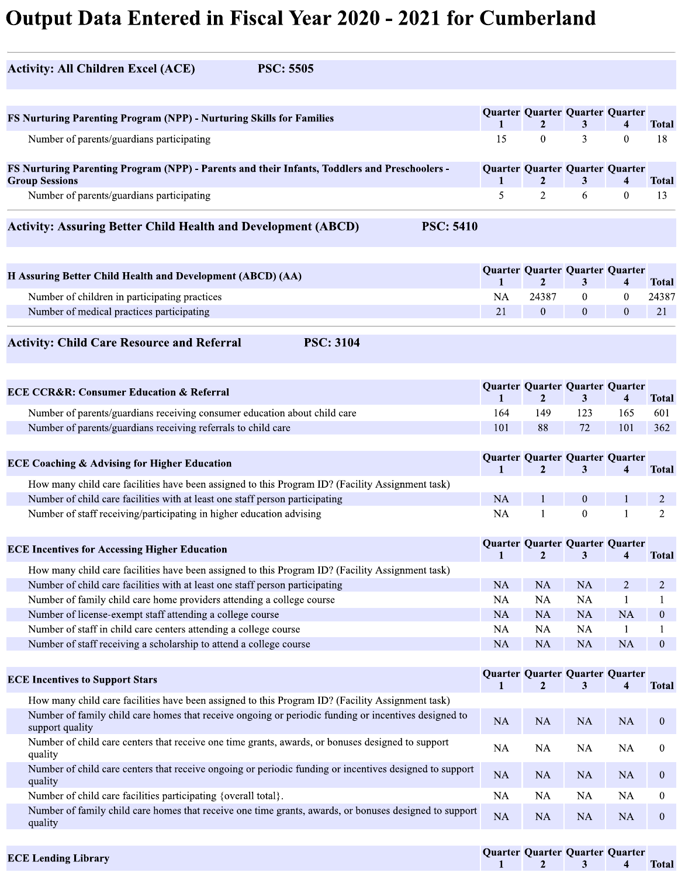## Output Data Entered in Fiscal Year 2020 - 2021 for Cumberland

| <b>Activity: All Children Excel (ACE)</b><br><b>PSC: 5505</b>                                                           |                    |                                                   |                |                   |                    |
|-------------------------------------------------------------------------------------------------------------------------|--------------------|---------------------------------------------------|----------------|-------------------|--------------------|
| FS Nurturing Parenting Program (NPP) - Nurturing Skills for Families                                                    |                    | Quarter Quarter Quarter Quarter                   |                |                   |                    |
| Number of parents/guardians participating                                                                               | $\mathbf{1}$<br>15 | $\mathbf{2}$<br>$\overline{0}$                    | 3<br>3         | 4<br>$\mathbf{0}$ | <b>Total</b><br>18 |
|                                                                                                                         |                    |                                                   |                |                   |                    |
| FS Nurturing Parenting Program (NPP) - Parents and their Infants, Toddlers and Preschoolers -<br><b>Group Sessions</b>  |                    | Quarter Quarter Quarter Quarter<br>$\mathbf{2}$   | 3              | 4                 | <b>Total</b>       |
| Number of parents/guardians participating                                                                               | 5                  | 2                                                 | 6              | $\mathbf{0}$      | 13                 |
| <b>Activity: Assuring Better Child Health and Development (ABCD)</b><br><b>PSC: 5410</b>                                |                    |                                                   |                |                   |                    |
| H Assuring Better Child Health and Development (ABCD) (AA)                                                              |                    | Quarter Quarter Quarter Quarter                   |                |                   |                    |
|                                                                                                                         | $\mathbf{1}$       | 2                                                 | 3              | 4                 | <b>Total</b>       |
| Number of children in participating practices                                                                           | NA                 | 24387                                             | $\overline{0}$ | $\bf{0}$          | 24387              |
| Number of medical practices participating                                                                               | 21                 | $\overline{0}$                                    | $\overline{0}$ | $\mathbf{0}$      | 21                 |
| <b>Activity: Child Care Resource and Referral</b><br><b>PSC: 3104</b>                                                   |                    |                                                   |                |                   |                    |
|                                                                                                                         |                    | Quarter Quarter Quarter Quarter                   |                |                   |                    |
| <b>ECE CCR&amp;R: Consumer Education &amp; Referral</b>                                                                 | $\mathbf{1}$       | $\overline{2}$                                    | 3 <sup>1</sup> | $\overline{4}$    | <b>Total</b>       |
| Number of parents/guardians receiving consumer education about child care                                               | 164                | 149                                               | 123            | 165               | 601                |
| Number of parents/guardians receiving referrals to child care                                                           | 101                | 88                                                | 72             | 101               | 362                |
| <b>ECE Coaching &amp; Advising for Higher Education</b>                                                                 |                    | Quarter Quarter Quarter Quarter                   |                |                   |                    |
| How many child care facilities have been assigned to this Program ID? (Facility Assignment task)                        | $\mathbf{1}$       | $\mathbf{2}$                                      | 3              |                   | <b>Total</b>       |
| Number of child care facilities with at least one staff person participating                                            | <b>NA</b>          | 1                                                 | $\overline{0}$ |                   | 2                  |
| Number of staff receiving/participating in higher education advising                                                    | NA                 |                                                   | $\mathbf{0}$   |                   | 2.                 |
| <b>ECE Incentives for Accessing Higher Education</b>                                                                    | $\mathbf{1}$       | Quarter Quarter Quarter Quarter<br>$\mathbf{2}$   | 3              |                   | <b>Total</b>       |
| How many child care facilities have been assigned to this Program ID? (Facility Assignment task)                        |                    |                                                   |                |                   |                    |
| Number of child care facilities with at least one staff person participating                                            | <b>NA</b>          | <b>NA</b>                                         | <b>NA</b>      | $\overline{2}$    | 2                  |
|                                                                                                                         | <b>NA</b>          | <b>NA</b>                                         | NA             |                   |                    |
| Number of family child care home providers attending a college course                                                   |                    | <b>NA</b>                                         | <b>NA</b>      | <b>NA</b>         | $\mathbf{0}$       |
| Number of license-exempt staff attending a college course                                                               | <b>NA</b>          |                                                   | NA             |                   |                    |
| Number of staff in child care centers attending a college course                                                        | <b>NA</b>          | NA                                                |                | <b>NA</b>         | $\mathbf{0}$       |
| Number of staff receiving a scholarship to attend a college course                                                      | <b>NA</b>          | <b>NA</b>                                         | <b>NA</b>      |                   |                    |
| <b>ECE Incentives to Support Stars</b>                                                                                  |                    | Quarter Quarter Quarter Quarter<br>$\mathfrak{D}$ | 3              |                   | <b>Total</b>       |
| How many child care facilities have been assigned to this Program ID? (Facility Assignment task)                        |                    |                                                   |                |                   |                    |
| Number of family child care homes that receive ongoing or periodic funding or incentives designed to<br>support quality | NA                 | NA                                                | <b>NA</b>      | NA                | $\overline{0}$     |
| Number of child care centers that receive one time grants, awards, or bonuses designed to support<br>quality            | NA                 | <b>NA</b>                                         | <b>NA</b>      | NA                | $\overline{0}$     |
| Number of child care centers that receive ongoing or periodic funding or incentives designed to support<br>quality      | <b>NA</b>          | <b>NA</b>                                         | <b>NA</b>      | <b>NA</b>         | $\mathbf{0}$       |
| Number of child care facilities participating {overall total}.                                                          | NA                 | <b>NA</b>                                         | <b>NA</b>      | NA                | $\mathbf{0}$       |

| <b>ECE Lending Library</b> | Oua |
|----------------------------|-----|

arter (  $\mathbf{I}$ Quarter  $\mathbf{Z}_{\perp}$ Quarter  $\mathbf{3}_{\perp}$ Quarter 4 **Iotal**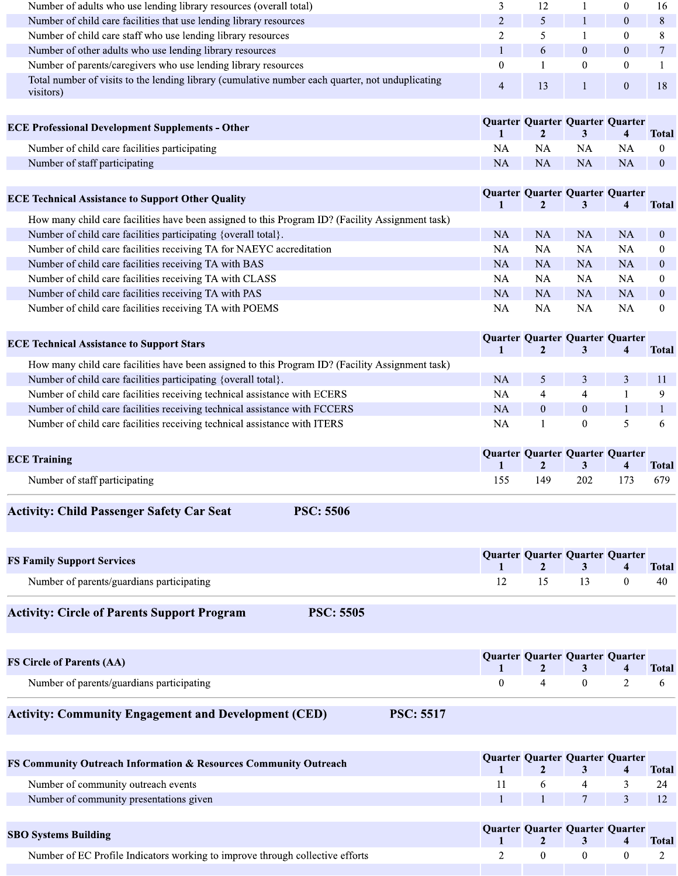| Number of adults who use lending library resources (overall total)                                            |  |  | 16 |
|---------------------------------------------------------------------------------------------------------------|--|--|----|
| Number of child care facilities that use lending library resources                                            |  |  |    |
| Number of child care staff who use lending library resources                                                  |  |  |    |
| Number of other adults who use lending library resources                                                      |  |  |    |
| Number of parents/caregivers who use lending library resources                                                |  |  |    |
| Total number of visits to the lending library (cumulative number each quarter, not unduplicating<br>visitors) |  |  |    |

| <b>ECE Professional Development Supplements - Other</b> | Quarter Quarter Quarter Quarter |           | $1 \t2 \t3 \t$ |     | <b>Total</b> |
|---------------------------------------------------------|---------------------------------|-----------|----------------|-----|--------------|
| Number of child care facilities participating           | NA                              | NA        | NA.            | NA. |              |
| Number of staff participating                           | NA.                             | <b>NA</b> | NA.            | NA  |              |

| <b>ECE Technical Assistance to Support Other Quality</b>                                         | Quarter Quarter Quarter Quarter |           |           |     | <b>Total</b> |
|--------------------------------------------------------------------------------------------------|---------------------------------|-----------|-----------|-----|--------------|
| How many child care facilities have been assigned to this Program ID? (Facility Assignment task) |                                 |           |           |     |              |
| Number of child care facilities participating {overall total}.                                   | NA                              | NA.       | NA        | NA  | $\theta$     |
| Number of child care facilities receiving TA for NAEYC accreditation                             | NA                              | NA.       | NA        | NA  | $\theta$     |
| Number of child care facilities receiving TA with BAS                                            | <b>NA</b>                       | <b>NA</b> | <b>NA</b> | NA. | $\Omega$     |
| Number of child care facilities receiving TA with CLASS                                          | NA                              | NA.       | NA        | NA  | 0            |
| Number of child care facilities receiving TA with PAS                                            | NA.                             | <b>NA</b> | <b>NA</b> | NA  | $\Omega$     |
| Number of child care facilities receiving TA with POEMS                                          | NA                              | NA        | NA        | NA  | $\theta$     |

| <b>ECE Technical Assistance to Support Stars</b>                                                 |           |  | Quarter Quarter Quarter Quarter | <b>Total</b> |
|--------------------------------------------------------------------------------------------------|-----------|--|---------------------------------|--------------|
| How many child care facilities have been assigned to this Program ID? (Facility Assignment task) |           |  |                                 |              |
| Number of child care facilities participating {overall total}.                                   | NA.       |  |                                 |              |
| Number of child care facilities receiving technical assistance with ECERS                        | NA        |  |                                 |              |
| Number of child care facilities receiving technical assistance with FCCERS                       | <b>NA</b> |  |                                 |              |
| Number of child care facilities receiving technical assistance with ITERS                        | NΑ        |  |                                 |              |

| <b>ECE Training</b>           |      |     | Quarter Quarter Quarter Quarter<br>1 2 3 4 Total |  |
|-------------------------------|------|-----|--------------------------------------------------|--|
| Number of staff participating | 155. | 149 | 202 173 679                                      |  |

**PSC: 5506** 

## **Activity: Child Passenger Safety Car Seat**

| <b>FS Family Support Services</b>         | Quarter Quarter Quarter Quarter<br>1 2 3 4 Total |  |      |
|-------------------------------------------|--------------------------------------------------|--|------|
| Number of parents/guardians participating | $12 \t 15 \t 13 \t 0$                            |  | - 40 |

## **Activity: Circle of Parents Support Program**

**PSC: 5505** 

| <b>FS Circle of Parents (AA)</b>          | Quarter Quarter Quarter Quarter |  | $1 \quad 2 \quad 3 \quad 4$ | <b>Total</b> |
|-------------------------------------------|---------------------------------|--|-----------------------------|--------------|
| Number of parents/guardians participating |                                 |  | $0 \qquad 2 \qquad 6$       |              |

**PSC: 5517** 

## **Activity: Community Engagement and Development (CED)**

| <b>FS Community Outreach Information &amp; Resources Community Outreach</b>   | Quarter Quarter Quarter Quarter |  | <b>Total</b> |
|-------------------------------------------------------------------------------|---------------------------------|--|--------------|
| Number of community outreach events                                           |                                 |  |              |
| Number of community presentations given                                       |                                 |  |              |
|                                                                               |                                 |  |              |
| <b>SBO Systems Building</b>                                                   | Quarter Quarter Quarter Quarter |  |              |
|                                                                               |                                 |  | Total        |
| Number of EC Profile Indicators working to improve through collective efforts |                                 |  |              |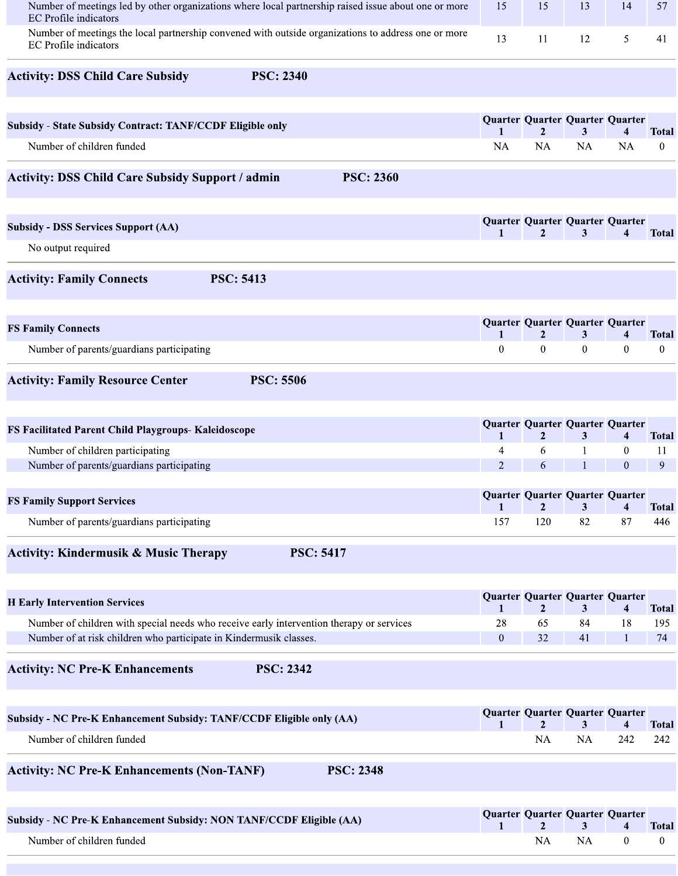| Number of meetings led by other organizations where local partnership raised issue about one or more<br><b>EC</b> Profile indicators | 15                  | 15                   | 13                                   | 14             | 57                               |
|--------------------------------------------------------------------------------------------------------------------------------------|---------------------|----------------------|--------------------------------------|----------------|----------------------------------|
| Number of meetings the local partnership convened with outside organizations to address one or more<br><b>EC</b> Profile indicators  | 13                  | 11                   | 12                                   | 5              | 41                               |
| <b>Activity: DSS Child Care Subsidy</b><br><b>PSC: 2340</b>                                                                          |                     |                      |                                      |                |                                  |
| <b>Subsidy - State Subsidy Contract: TANF/CCDF Eligible only</b>                                                                     |                     |                      | Quarter Quarter Quarter Quarter      |                |                                  |
| Number of children funded                                                                                                            | 1<br><b>NA</b>      | 2<br><b>NA</b>       | 3<br><b>NA</b>                       | 4<br><b>NA</b> | <b>Total</b><br>$\boldsymbol{0}$ |
| <b>Activity: DSS Child Care Subsidy Support / admin</b><br><b>PSC: 2360</b>                                                          |                     |                      |                                      |                |                                  |
| <b>Subsidy - DSS Services Support (AA)</b>                                                                                           | 1                   | $\mathbf{2}$         | Quarter Quarter Quarter Quarter<br>3 | 4              | <b>Total</b>                     |
| No output required                                                                                                                   |                     |                      |                                      |                |                                  |
| <b>Activity: Family Connects</b><br><b>PSC: 5413</b>                                                                                 |                     |                      |                                      |                |                                  |
| <b>FS Family Connects</b>                                                                                                            | $\mathbf{1}$        | $\mathbf{2}$         | Quarter Quarter Quarter Quarter<br>3 | 4              | <b>Total</b>                     |
| Number of parents/guardians participating                                                                                            | $\overline{0}$      | $\mathbf{0}$         | $\mathbf{0}$                         | $\bf{0}$       | $\bf{0}$                         |
| <b>Activity: Family Resource Center</b><br><b>PSC: 5506</b>                                                                          |                     |                      |                                      |                |                                  |
| FS Facilitated Parent Child Playgroups- Kaleidoscope                                                                                 | 1                   | $\mathbf{2}$         | Quarter Quarter Quarter Quarter<br>3 | 4              | <b>Total</b>                     |
| Number of children participating                                                                                                     | 4                   | 6                    |                                      | $\mathbf{0}$   | 11                               |
| Number of parents/guardians participating                                                                                            | $\overline{2}$      | 6                    | $\mathbf{1}$                         | $\mathbf{0}$   | 9                                |
| <b>FS Family Support Services</b>                                                                                                    |                     |                      | Quarter Quarter Quarter Quarter      |                |                                  |
| Number of parents/guardians participating                                                                                            | $\mathbf{1}$<br>157 | $\mathbf{2}$<br>120  | 3<br>82                              | 4<br>87        | <b>Total</b><br>446              |
|                                                                                                                                      |                     |                      |                                      |                |                                  |
| <b>Activity: Kindermusik &amp; Music Therapy</b><br><b>PSC: 5417</b>                                                                 |                     |                      |                                      |                |                                  |
| <b>H</b> Early Intervention Services                                                                                                 | 1                   | $\mathbf{2}$         | Quarter Quarter Quarter Quarter<br>3 | 4              | <b>Total</b>                     |
| Number of children with special needs who receive early intervention therapy or services                                             | 28                  | 65                   | 84                                   | 18             | 195                              |
| Number of at risk children who participate in Kindermusik classes.                                                                   | $\mathbf{0}$        | 32                   | 41                                   | 1              | 74                               |
| <b>Activity: NC Pre-K Enhancements</b><br><b>PSC: 2342</b>                                                                           |                     |                      |                                      |                |                                  |
| Subsidy - NC Pre-K Enhancement Subsidy: TANF/CCDF Eligible only (AA)                                                                 |                     |                      | Quarter Quarter Quarter Quarter      |                |                                  |
| Number of children funded                                                                                                            | $\mathbf{1}$        | $\overline{2}$<br>NA | 3<br>NA                              | 4<br>242       | <b>Total</b><br>242              |
|                                                                                                                                      |                     |                      |                                      |                |                                  |
| <b>Activity: NC Pre-K Enhancements (Non-TANF)</b><br><b>PSC: 2348</b>                                                                |                     |                      |                                      |                |                                  |
| Subsidy - NC Pre-K Enhancement Subsidy: NON TANF/CCDF Eligible (AA)                                                                  | 1                   | 2                    | Quarter Quarter Quarter Quarter<br>3 | 4              | <b>Total</b>                     |
| Number of children funded                                                                                                            |                     | NA                   | NA                                   | $\bf{0}$       | $\bf{0}$                         |
|                                                                                                                                      |                     |                      |                                      |                |                                  |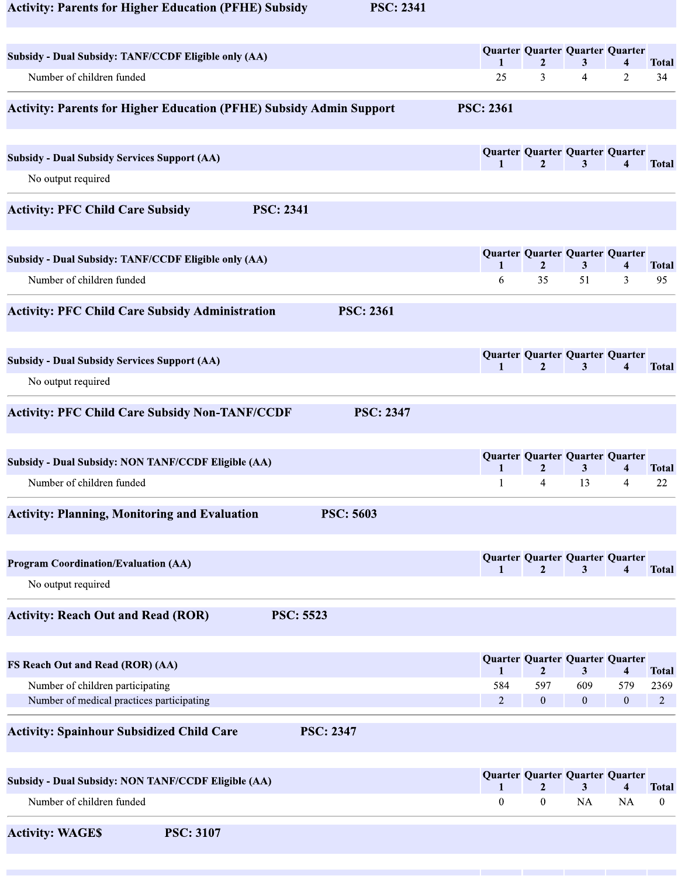| <b>Activity: Parents for Higher Education (PFHE) Subsidy</b> | <b>PSC: 2341</b> |
|--------------------------------------------------------------|------------------|
|--------------------------------------------------------------|------------------|

| Subsidy - Dual Subsidy: TANF/CCDF Eligible only (AA)                       | $\mathbf{1}$     | $\overline{2}$   | Quarter Quarter Quarter Quarter<br>3              | $\boldsymbol{4}$        | <b>Total</b>   |
|----------------------------------------------------------------------------|------------------|------------------|---------------------------------------------------|-------------------------|----------------|
| Number of children funded                                                  | 25               | 3                | 4                                                 | $\overline{2}$          | 34             |
| <b>Activity: Parents for Higher Education (PFHE) Subsidy Admin Support</b> | <b>PSC: 2361</b> |                  |                                                   |                         |                |
| <b>Subsidy - Dual Subsidy Services Support (AA)</b>                        | 1                | $\mathbf{2}$     | Quarter Quarter Quarter Quarter<br>3              | 4                       | <b>Total</b>   |
| No output required                                                         |                  |                  |                                                   |                         |                |
| <b>PSC: 2341</b><br><b>Activity: PFC Child Care Subsidy</b>                |                  |                  |                                                   |                         |                |
| Subsidy - Dual Subsidy: TANF/CCDF Eligible only (AA)                       | 1                | $\overline{2}$   | Quarter Quarter Quarter Quarter<br>$\mathbf{3}$   | $\overline{\mathbf{4}}$ | <b>Total</b>   |
| Number of children funded                                                  | 6                | 35               | 51                                                | 3                       | 95             |
| <b>Activity: PFC Child Care Subsidy Administration</b><br><b>PSC: 2361</b> |                  |                  |                                                   |                         |                |
| <b>Subsidy - Dual Subsidy Services Support (AA)</b>                        | 1                | $\overline{2}$   | Quarter Quarter Quarter Quarter<br>3              | 4                       | <b>Total</b>   |
| No output required                                                         |                  |                  |                                                   |                         |                |
| <b>Activity: PFC Child Care Subsidy Non-TANF/CCDF</b><br><b>PSC: 2347</b>  |                  |                  |                                                   |                         |                |
| Subsidy - Dual Subsidy: NON TANF/CCDF Eligible (AA)                        | $\mathbf{1}$     | $\boldsymbol{2}$ | Quarter Quarter Quarter Quarter<br>$\mathbf{3}$   | 4                       | Total          |
| Number of children funded                                                  | $\mathbf{1}$     | $\overline{4}$   | 13                                                | $\overline{4}$          | 22             |
| <b>Activity: Planning, Monitoring and Evaluation</b><br><b>PSC: 5603</b>   |                  |                  |                                                   |                         |                |
| <b>Program Coordination/Evaluation (AA)</b>                                | $\mathbf{1}$     | $\mathbf{2}$     | Quarter Quarter Quarter Quarter<br>3              | $\overline{\bf{4}}$     | <b>Total</b>   |
| No output required                                                         |                  |                  |                                                   |                         |                |
| <b>Activity: Reach Out and Read (ROR)</b><br><b>PSC: 5523</b>              |                  |                  |                                                   |                         |                |
| FS Reach Out and Read (ROR) (AA)                                           | $\mathbf{1}$     | $\overline{2}$   | Quarter Quarter Quarter Quarter<br>3 <sup>1</sup> | $\overline{\mathbf{4}}$ | <b>Total</b>   |
| Number of children participating                                           | 584              | 597              | 609                                               | 579                     | 2369           |
| Number of medical practices participating                                  | 2                | $\overline{0}$   | $\overline{0}$                                    | $\overline{0}$          | $\overline{2}$ |
| <b>Activity: Spainhour Subsidized Child Care</b><br><b>PSC: 2347</b>       |                  |                  |                                                   |                         |                |
| <b>Subsidy - Dual Subsidy: NON TANF/CCDF Eligible (AA)</b>                 | 1                | 2                | Quarter Quarter Quarter Quarter<br>3              | 4                       | <b>Total</b>   |
| Number of children funded                                                  | $\boldsymbol{0}$ | $\overline{0}$   | NA                                                | <b>NA</b>               | $\mathbf{0}$   |
| <b>PSC: 3107</b><br><b>Activity: WAGES</b>                                 |                  |                  |                                                   |                         |                |